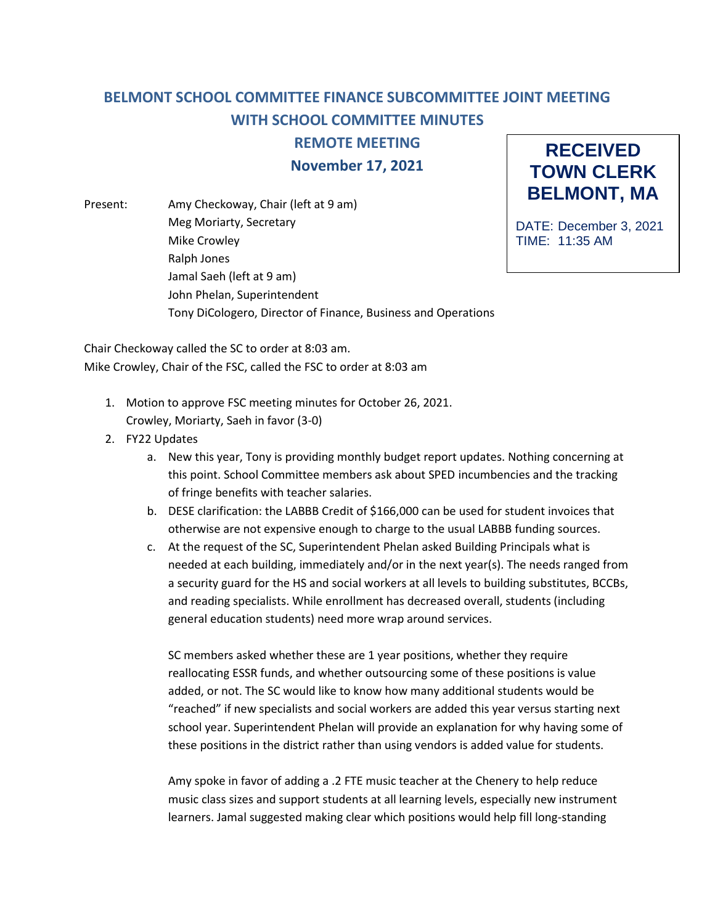## **BELMONT SCHOOL COMMITTEE FINANCE SUBCOMMITTEE JOINT MEETING WITH SCHOOL COMMITTEE MINUTES**

**REMOTE MEETING**

**November 17, 2021**

Present: Amy Checkoway, Chair (left at 9 am) Meg Moriarty, Secretary Mike Crowley Ralph Jones Jamal Saeh (left at 9 am) John Phelan, Superintendent Tony DiCologero, Director of Finance, Business and Operations

**RECEIVED TOWN CLERK BELMONT, MA**

DATE: December 3, 2021 TIME: 11:35 AM

Chair Checkoway called the SC to order at 8:03 am. Mike Crowley, Chair of the FSC, called the FSC to order at 8:03 am

- 1. Motion to approve FSC meeting minutes for October 26, 2021.
	- Crowley, Moriarty, Saeh in favor (3-0)
- 2. FY22 Updates
	- a. New this year, Tony is providing monthly budget report updates. Nothing concerning at this point. School Committee members ask about SPED incumbencies and the tracking of fringe benefits with teacher salaries.
	- b. DESE clarification: the LABBB Credit of \$166,000 can be used for student invoices that otherwise are not expensive enough to charge to the usual LABBB funding sources.
	- c. At the request of the SC, Superintendent Phelan asked Building Principals what is needed at each building, immediately and/or in the next year(s). The needs ranged from a security guard for the HS and social workers at all levels to building substitutes, BCCBs, and reading specialists. While enrollment has decreased overall, students (including general education students) need more wrap around services.

SC members asked whether these are 1 year positions, whether they require reallocating ESSR funds, and whether outsourcing some of these positions is value added, or not. The SC would like to know how many additional students would be "reached" if new specialists and social workers are added this year versus starting next school year. Superintendent Phelan will provide an explanation for why having some of these positions in the district rather than using vendors is added value for students.

Amy spoke in favor of adding a .2 FTE music teacher at the Chenery to help reduce music class sizes and support students at all learning levels, especially new instrument learners. Jamal suggested making clear which positions would help fill long-standing